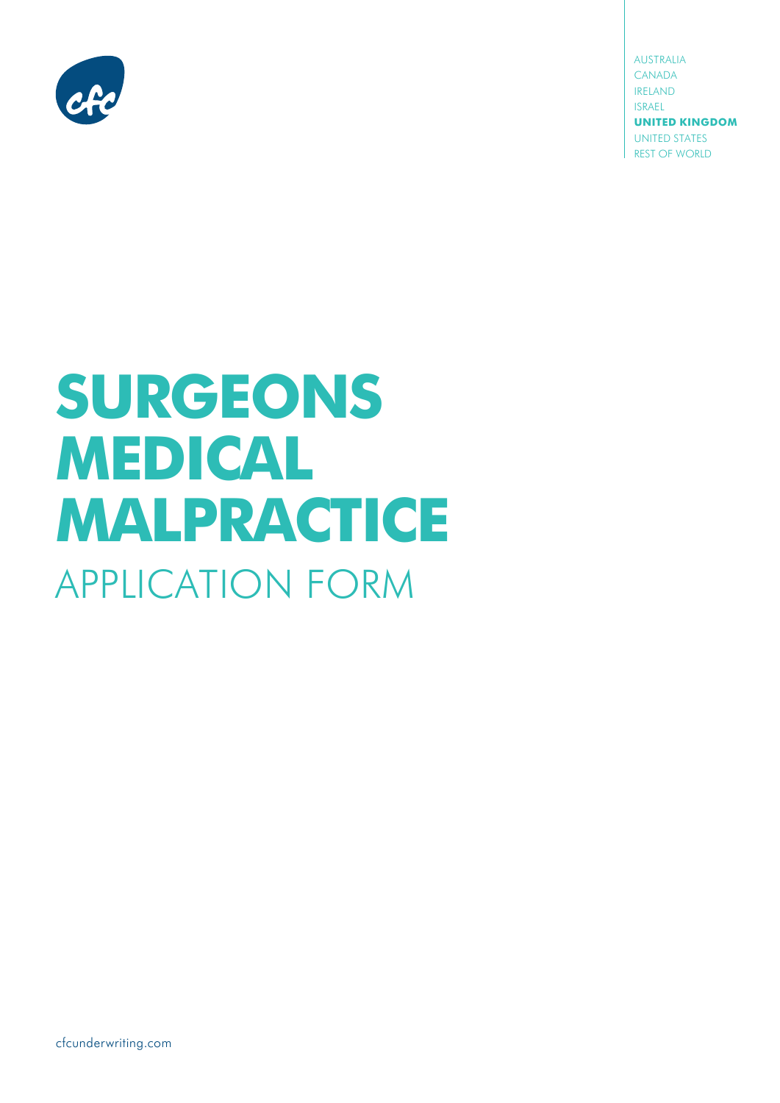

australia CANADA ireland israel **UNITED KINGDOM** UNITED STATES REST OF WORLD

# **SURGEONS MEDICAL MALPRACTICE** APPLICATION FORM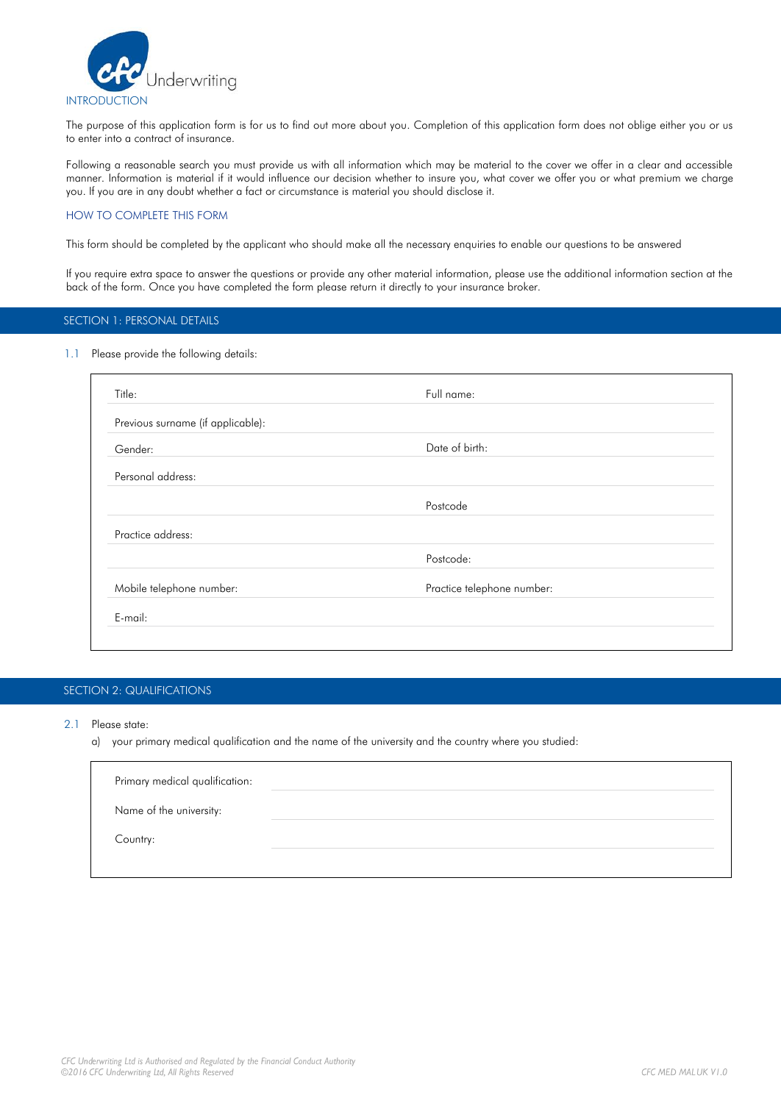

The purpose of this application form is for us to find out more about you. Completion of this application form does not oblige either you or us to enter into a contract of insurance.

Following a reasonable search you must provide us with all information which may be material to the cover we offer in a clear and accessible manner. Information is material if it would influence our decision whether to insure you, what cover we offer you or what premium we charge you. If you are in any doubt whether a fact or circumstance is material you should disclose it.

#### HOW TO COMPLETE THIS FORM

This form should be completed by the applicant who should make all the necessary enquiries to enable our questions to be answered

If you require extra space to answer the questions or provide any other material information, please use the additional information section at the back of the form. Once you have completed the form please return it directly to your insurance broker.

#### SECTION 1: PERSONAL DETAILS

#### 1.1 Please provide the following details:

| Title:                            | Full name:                 |  |
|-----------------------------------|----------------------------|--|
| Previous surname (if applicable): |                            |  |
| Gender:                           | Date of birth:             |  |
| Personal address:                 |                            |  |
|                                   | Postcode                   |  |
| Practice address:                 |                            |  |
|                                   | Postcode:                  |  |
| Mobile telephone number:          | Practice telephone number: |  |
| E-mail:                           |                            |  |

## SECTION 2: QUALIFICATIONS

- 2.1 Please state:
	- a) your primary medical qualification and the name of the university and the country where you studied:

| Primary medical qualification: |  |
|--------------------------------|--|
| Name of the university:        |  |
| Country:                       |  |
|                                |  |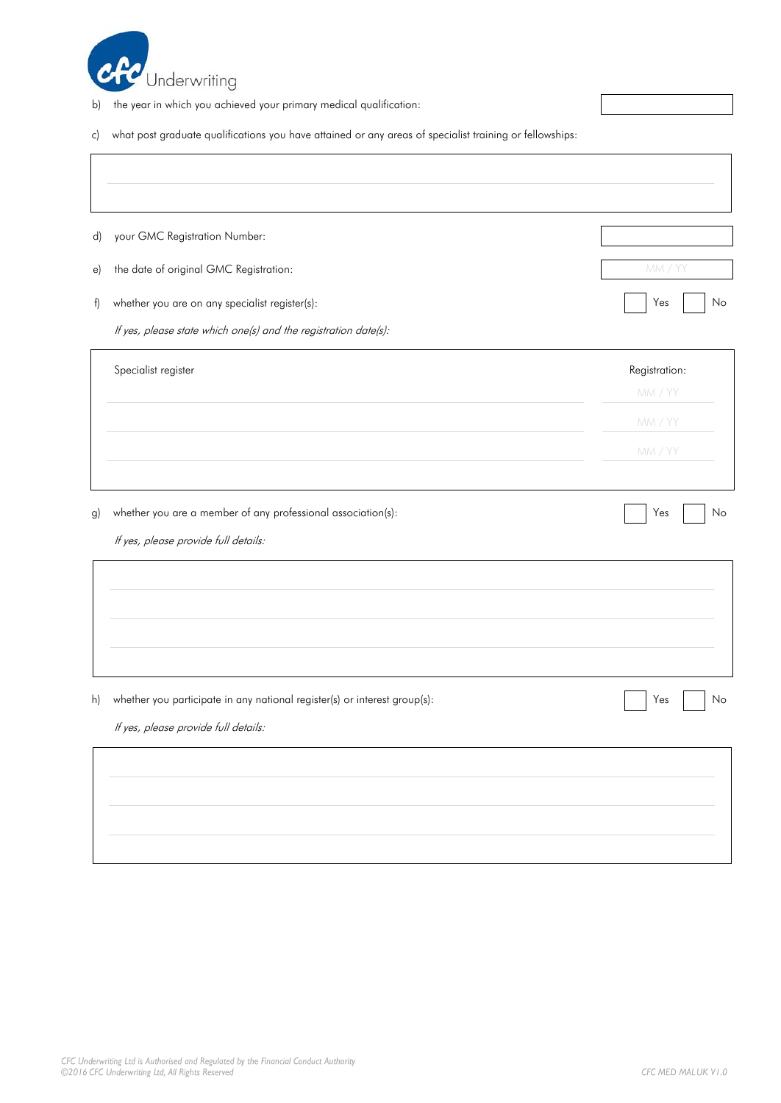

- b) the year in which you achieved your primary medical qualification:
- c) what post graduate qualifications you have attained or any areas of specialist training or fellowships:

| $\mathsf{d}$      | your GMC Registration Number:                                             |               |
|-------------------|---------------------------------------------------------------------------|---------------|
| $\vert e \rangle$ | the date of original GMC Registration:                                    | MM / YY       |
| f)                | whether you are on any specialist register(s):                            | Yes<br>No     |
|                   | If yes, please state which one(s) and the registration date(s):           |               |
|                   | Specialist register                                                       | Registration: |
|                   |                                                                           | MM / YY       |
|                   |                                                                           | MM / YY       |
|                   |                                                                           | MM / YY       |
|                   |                                                                           |               |
| g)                | whether you are a member of any professional association(s):              | Yes<br>No     |
|                   | If yes, please provide full details:                                      |               |
|                   |                                                                           |               |
|                   |                                                                           |               |
|                   |                                                                           |               |
|                   |                                                                           |               |
| h)                | whether you participate in any national register(s) or interest group(s): | Yes<br>No     |
|                   | If yes, please provide full details:                                      |               |
|                   |                                                                           |               |
|                   |                                                                           |               |
|                   |                                                                           |               |
|                   |                                                                           |               |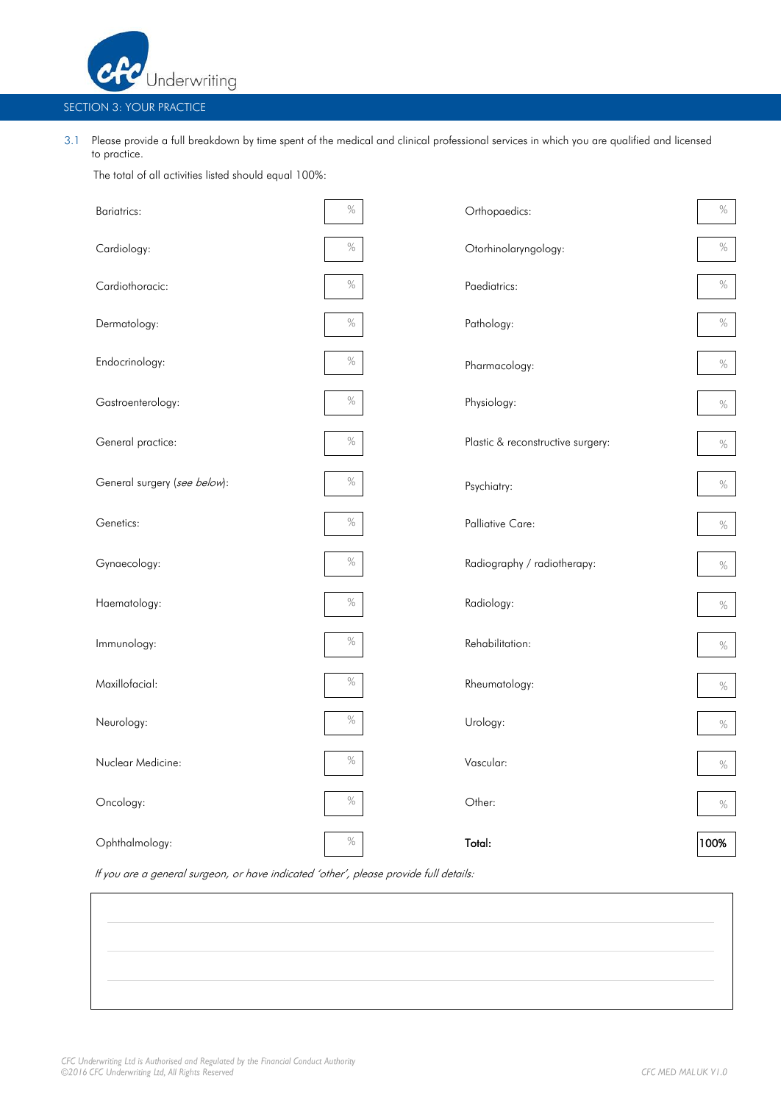

## SECTION 3: YOUR PRACTICE

3.1 Please provide a full breakdown by time spent of the medical and clinical professional services in which you are qualified and licensed to practice.

The total of all activities listed should equal 100%:

| <b>Bariatrics:</b>           | $\%$ | Orthopaedics:                     | $\%$ |
|------------------------------|------|-----------------------------------|------|
| Cardiology:                  | $\%$ | Otorhinolaryngology:              | $\%$ |
| Cardiothoracic:              | $\%$ | Paediatrics:                      | $\%$ |
| Dermatology:                 | $\%$ | Pathology:                        | $\%$ |
| Endocrinology:               | $\%$ | Pharmacology:                     | $\%$ |
| Gastroenterology:            | $\%$ | Physiology:                       | $\%$ |
| General practice:            | $\%$ | Plastic & reconstructive surgery: | $\%$ |
| General surgery (see below): | $\%$ | Psychiatry:                       | $\%$ |
| Genetics:                    | $\%$ | <b>Palliative Care:</b>           | $\%$ |
| Gynaecology:                 | $\%$ | Radiography / radiotherapy:       | $\%$ |
| Haematology:                 | $\%$ | Radiology:                        | $\%$ |
| Immunology:                  | $\%$ | Rehabilitation:                   | $\%$ |
| Maxillofacial:               | $\%$ | Rheumatology:                     | $\%$ |
| Neurology:                   | $\%$ | Urology:                          | $\%$ |
| Nuclear Medicine:            | $\%$ | Vascular:                         | $\%$ |
| Oncology:                    | $\%$ | Other:                            | $\%$ |
| Ophthalmology:               | $\%$ | Total:                            | 100% |

If you are a general surgeon, or have indicated 'other', please provide full details: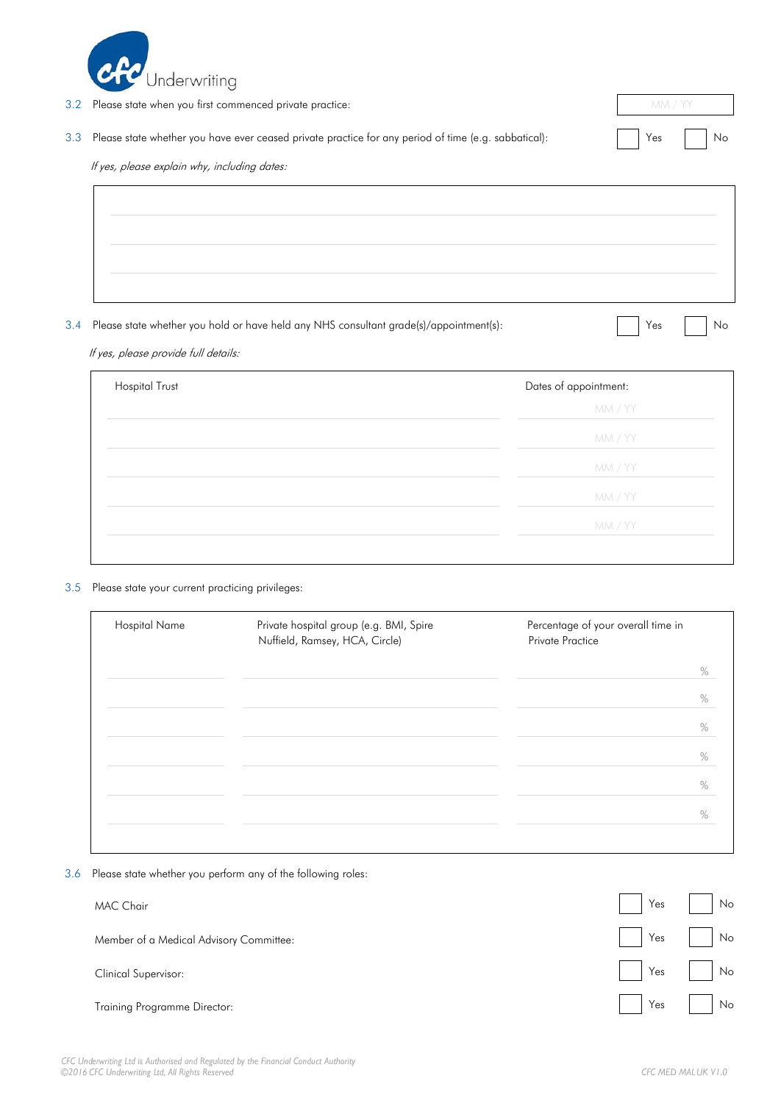

| 3.2 | Please state when you first commenced private practice:                                                  |  | mm / YY |
|-----|----------------------------------------------------------------------------------------------------------|--|---------|
|     | 3.3 Please state whether you have ever ceased private practice for any period of time (e.g. sabbatical): |  | Yes No  |
|     | If yes, please explain why, including dates:                                                             |  |         |

3.4 Please state whether you hold or have held any NHS consultant grade(s)/appointment(s): <br>
No

If yes, please provide full details:

| <b>Hospital Trust</b><br>Dates of appointment: |         |
|------------------------------------------------|---------|
|                                                | MM / YY |
|                                                | MM / YY |
|                                                | MM / YY |
|                                                | MM / YY |
|                                                | MM / YY |
|                                                |         |

### 3.5 Please state your current practicing privileges:

| Hospital Name | Private hospital group (e.g. BMI, Spire<br>Nuffield, Ramsey, HCA, Circle) | Percentage of your overall time in<br>Private Practice |
|---------------|---------------------------------------------------------------------------|--------------------------------------------------------|
|               |                                                                           | $\frac{0}{0}$                                          |
|               |                                                                           | $\frac{0}{0}$                                          |
|               |                                                                           | $\frac{0}{0}$                                          |
|               |                                                                           | $\frac{0}{0}$                                          |
|               |                                                                           | $\frac{0}{0}$                                          |
|               |                                                                           | $\%$                                                   |
|               |                                                                           |                                                        |

3.6 Please state whether you perform any of the following roles:

| <b>MAC Chair</b>                        |        | $Yes$ $No$ |
|-----------------------------------------|--------|------------|
| Member of a Medical Advisory Committee: | Yes No |            |
| Clinical Supervisor:                    |        | Yes No     |
| Training Programme Director:            |        | Yes No     |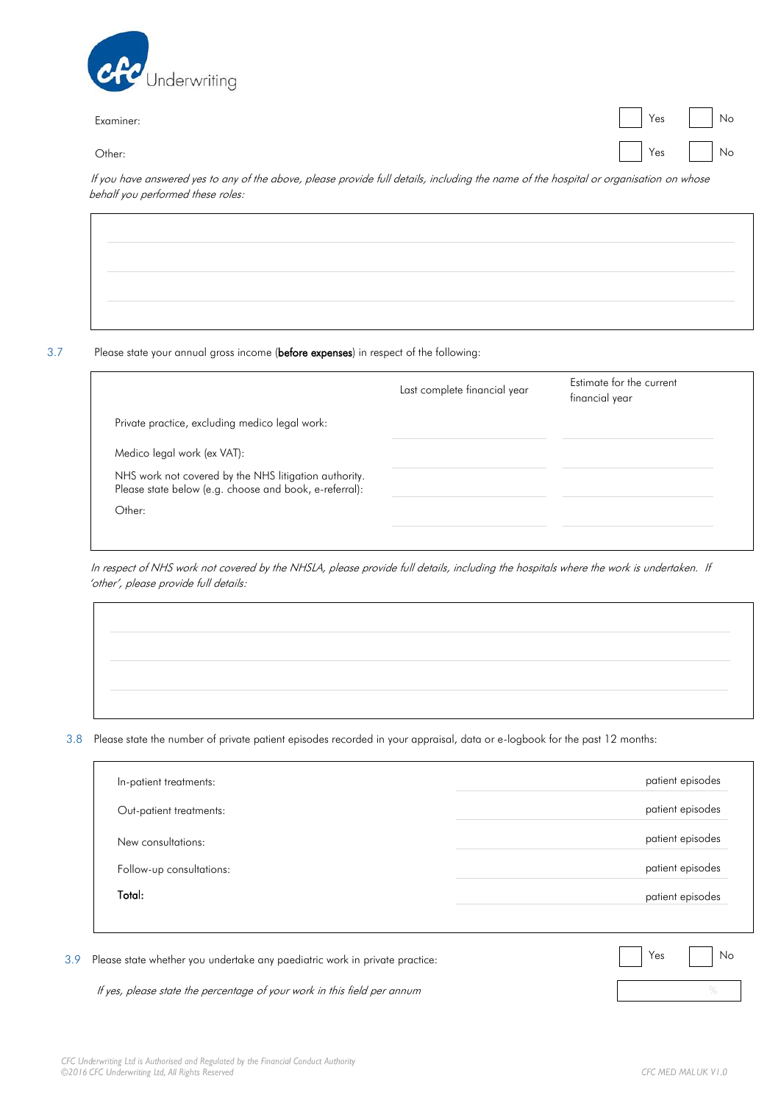

Examiner: Yes No

Other: Yes No

If you have answered yes to any of the above, please provide full details, including the name of the hospital or organisation on whose behalf you performed these roles:

#### 3.7 Please state your annual gross income (before expenses) in respect of the following:

|                                                                                                                 | Last complete financial year | Estimate for the current<br>financial year |
|-----------------------------------------------------------------------------------------------------------------|------------------------------|--------------------------------------------|
| Private practice, excluding medico legal work:                                                                  |                              |                                            |
| Medico legal work (ex VAT):                                                                                     |                              |                                            |
| NHS work not covered by the NHS litigation authority.<br>Please state below (e.g. choose and book, e-referral): |                              |                                            |
| Other:                                                                                                          |                              |                                            |
|                                                                                                                 |                              |                                            |

In respect of NHS work not covered by the NHSLA, please provide full details, including the hospitals where the work is undertaken. If 'other', please provide full details:

3.8 Please state the number of private patient episodes recorded in your appraisal, data or e-logbook for the past 12 months:

| Out-patient treatments:  | patient episodes |
|--------------------------|------------------|
| New consultations:       | patient episodes |
| Follow-up consultations: | patient episodes |
| Total:                   | patient episodes |
|                          |                  |

If yes, please state the percentage of your work in this field per annum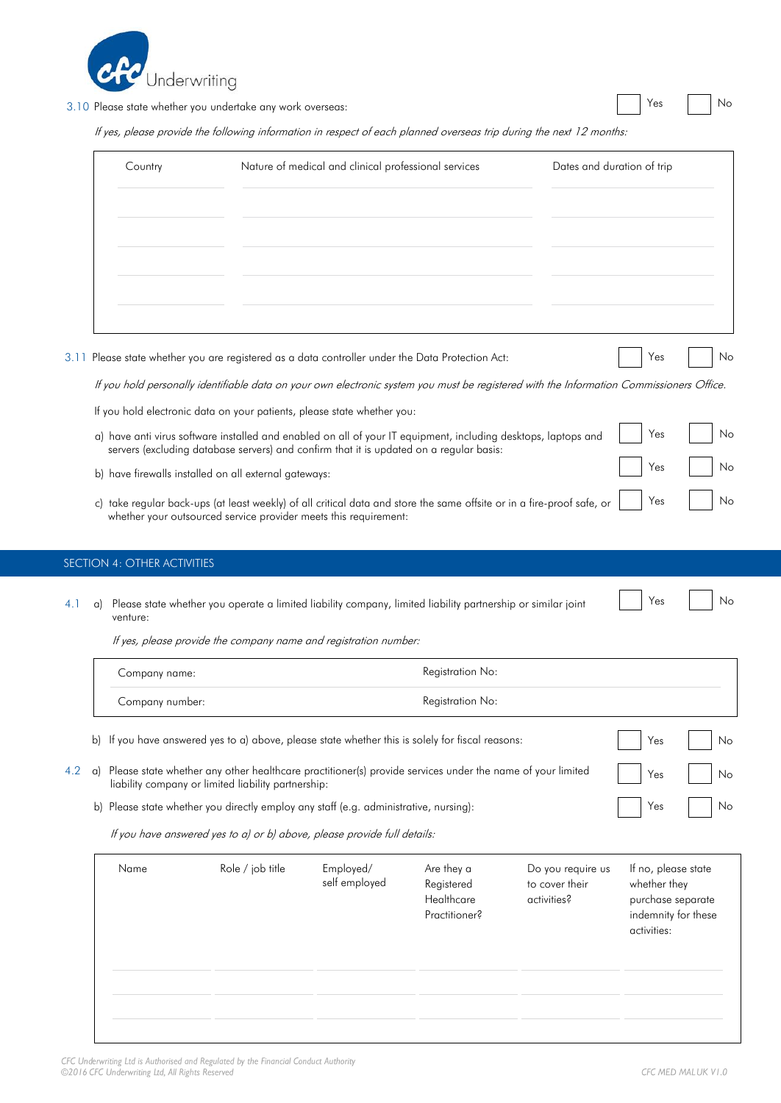

3.10 Please state whether you undertake any work overseas: Yes No

Yes No

If yes, please provide the following information in respect of each planned overseas trip during the next 12 months:

|      | Country | Nature of medical and clinical professional services                                                                                                                                                      | Dates and duration of trip |    |
|------|---------|-----------------------------------------------------------------------------------------------------------------------------------------------------------------------------------------------------------|----------------------------|----|
|      |         |                                                                                                                                                                                                           |                            |    |
|      |         |                                                                                                                                                                                                           |                            |    |
|      |         |                                                                                                                                                                                                           |                            |    |
|      |         |                                                                                                                                                                                                           |                            |    |
|      |         |                                                                                                                                                                                                           |                            |    |
| 3.11 |         | Please state whether you are registered as a data controller under the Data Protection Act:                                                                                                               | Yes                        | No |
|      |         | If you hold personally identifiable data on your own electronic system you must be registered with the Information Commissioners Office.                                                                  |                            |    |
|      |         | If you hold electronic data on your patients, please state whether you:                                                                                                                                   |                            |    |
|      |         | a) have anti virus software installed and enabled on all of your IT equipment, including desktops, laptops and<br>servers (excluding database servers) and confirm that it is updated on a regular basis: | Yes                        | No |
|      |         |                                                                                                                                                                                                           | Yes                        | No |

- b) have firewalls installed on all external gateways:
- c) take regular back-ups (at least weekly) of all critical data and store the same offsite or in a fire-proof safe, or whether your outsourced service provider meets this requirement:

## SECTION 4: OTHER ACTIVITIES

| venture: |  |  | 4.1 a) Please state whether you operate a limited liability company, limited liability partnership or similar joint |  | No. Xes No. |  |  |
|----------|--|--|---------------------------------------------------------------------------------------------------------------------|--|-------------|--|--|
|----------|--|--|---------------------------------------------------------------------------------------------------------------------|--|-------------|--|--|

If yes, please provide the company name and registration number:

|     |    | Company name:                                       |                  |                                                                                                           | Registration No:                                        |                                                    |                                                                                                |    |
|-----|----|-----------------------------------------------------|------------------|-----------------------------------------------------------------------------------------------------------|---------------------------------------------------------|----------------------------------------------------|------------------------------------------------------------------------------------------------|----|
|     |    | Company number:                                     |                  |                                                                                                           | Registration No:                                        |                                                    |                                                                                                |    |
|     |    |                                                     |                  | b) If you have answered yes to a) above, please state whether this is solely for fiscal reasons:          |                                                         |                                                    | Yes                                                                                            | No |
| 4.2 | a) | liability company or limited liability partnership: |                  | Please state whether any other healthcare practitioner(s) provide services under the name of your limited |                                                         |                                                    | Yes                                                                                            | No |
|     | b) |                                                     |                  | Please state whether you directly employ any staff (e.g. administrative, nursing):                        |                                                         |                                                    | Yes                                                                                            | No |
|     |    |                                                     |                  | If you have answered yes to a) or b) above, please provide full details:                                  |                                                         |                                                    |                                                                                                |    |
|     |    | Name                                                | Role / job title | Employed/<br>self employed                                                                                | Are they a<br>Registered<br>Healthcare<br>Practitioner? | Do you require us<br>to cover their<br>activities? | If no, please state<br>whether they<br>purchase separate<br>indemnity for these<br>activities: |    |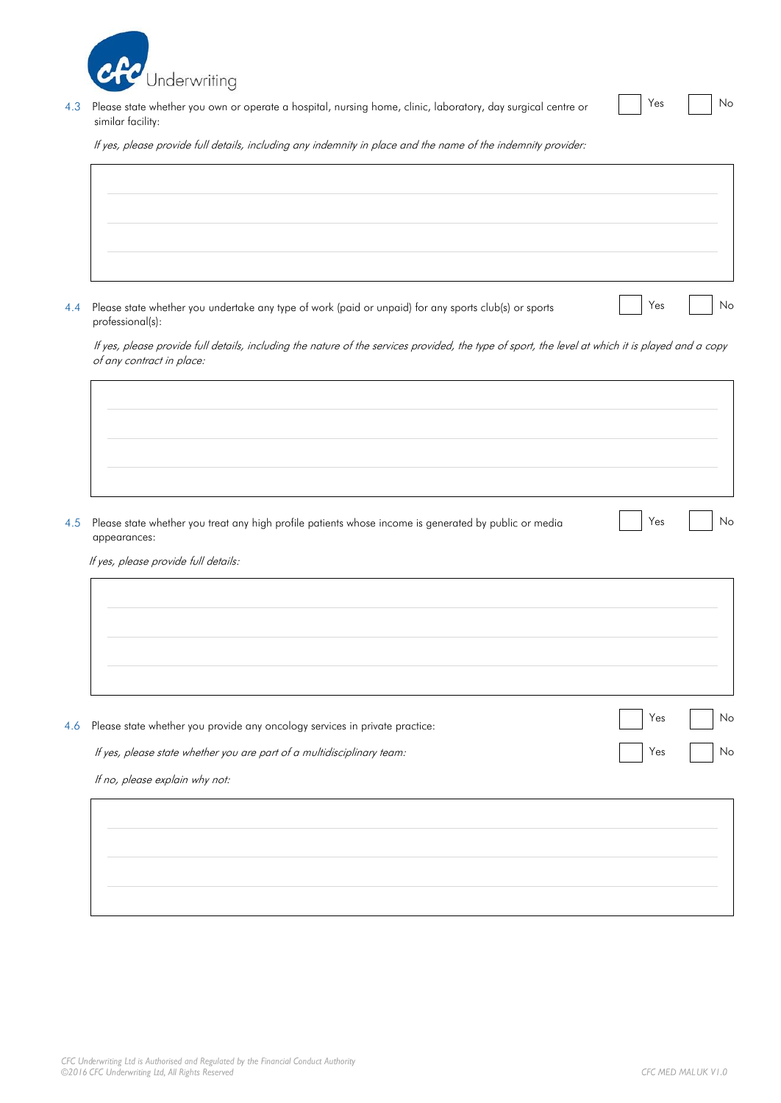

4.3 Please state whether you own or operate a hospital, nursing home, clinic, laboratory, day surgical centre or  $\Box$  Yes  $\Box$  No similar facility:

If yes, please provide full details, including any indemnity in place and the name of the indemnity provider:

4.4 Please state whether you undertake any type of work (paid or unpaid) for any sports club(s) or sports <br>
Yes No professional(s):

If yes, please provide full details, including the nature of the services provided, the type of sport, the level at which it is played and a copy of any contract in place:

4.5 Please state whether you treat any high profile patients whose income is generated by public or media  $\blacksquare$  Yes  $\blacksquare$  No appearances:

If yes, please provide full details:

4.6 Please state whether you provide any oncology services in private practice: Yes No No

If yes, please state whether you are part of a multidisciplinary team: Yes No No No No No No No No No No No No

If no, please explain why not: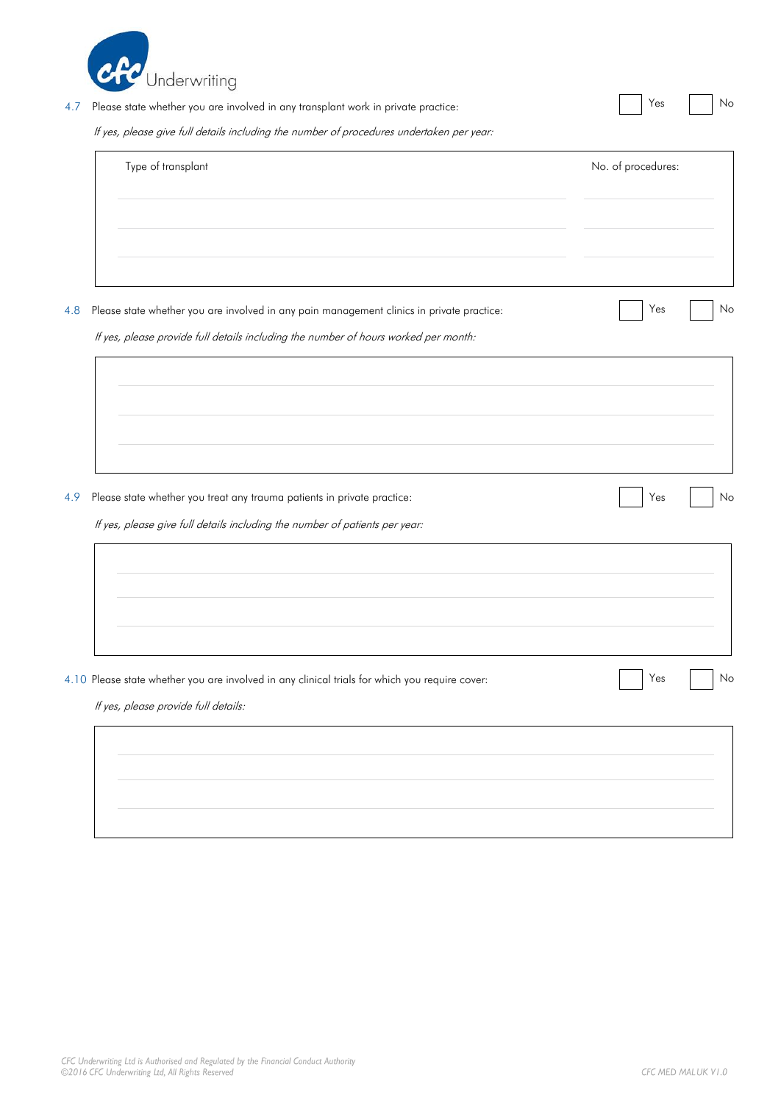

# 4.7 Please state whether you are involved in any transplant work in private practice: No No No No No No No No

If yes, please give full details including the number of procedures undertaken per year:

| Type of transplant | No. of procedures: |
|--------------------|--------------------|
|                    |                    |
|                    |                    |
|                    |                    |
|                    |                    |

If yes, please provide full details including the number of hours worked per month:

4.9 Please state whether you treat any trauma patients in private practice: Yes No No No No No No No

If yes, please give full details including the number of patients per year:

| 4.10 Please state whether you are involved in any clinical trials for which you require cover: | Yes<br>No |
|------------------------------------------------------------------------------------------------|-----------|

If yes, please provide full details:

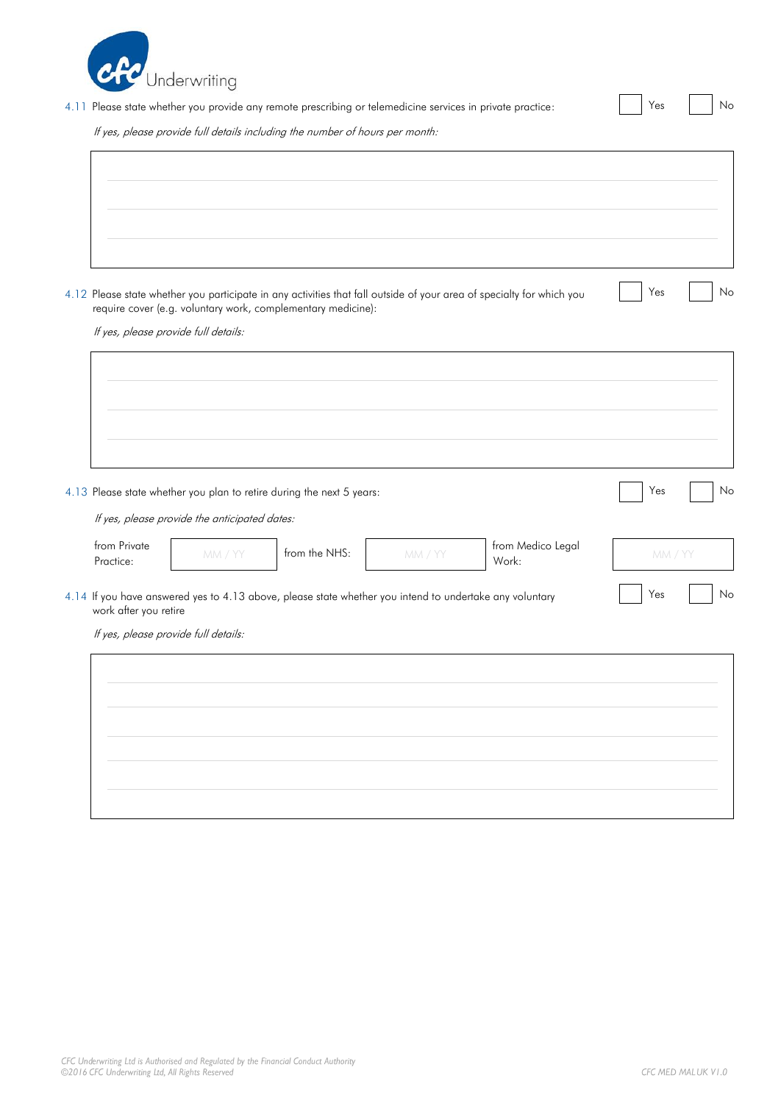

 $\mathbf{r}$ 

4.11 Please state whether you provide any remote prescribing or telemedicine services in private practice: <br>
No

If yes, please provide full details including the number of hours per month:

| 4.12 Please state whether you participate in any activities that fall outside of your area of specialty for which you<br>require cover (e.g. voluntary work, complementary medicine): | Yes |  |
|---------------------------------------------------------------------------------------------------------------------------------------------------------------------------------------|-----|--|
| If yes, please provide full details:                                                                                                                                                  |     |  |
|                                                                                                                                                                                       |     |  |
|                                                                                                                                                                                       |     |  |
| 4.13 Please state whether you plan to retire during the next 5 years:                                                                                                                 | Yes |  |
|                                                                                                                                                                                       |     |  |

| <b>Trom Private</b><br>Practice: | IV.IVI. | from the NHS: | IVIVI. | trom iviedico Legal<br>Work: | MM. |
|----------------------------------|---------|---------------|--------|------------------------------|-----|
|                                  |         |               |        |                              |     |

4.14 If you have answered yes to 4.13 above, please state whether you intend to undertake any voluntary No and Yes No work after you retire

If yes, please provide full details:

| $\sim$ |  |
|--------|--|
|        |  |
|        |  |
|        |  |
|        |  |
|        |  |
|        |  |
|        |  |
|        |  |
|        |  |
|        |  |
|        |  |
|        |  |
|        |  |
|        |  |
|        |  |
|        |  |
|        |  |
|        |  |
|        |  |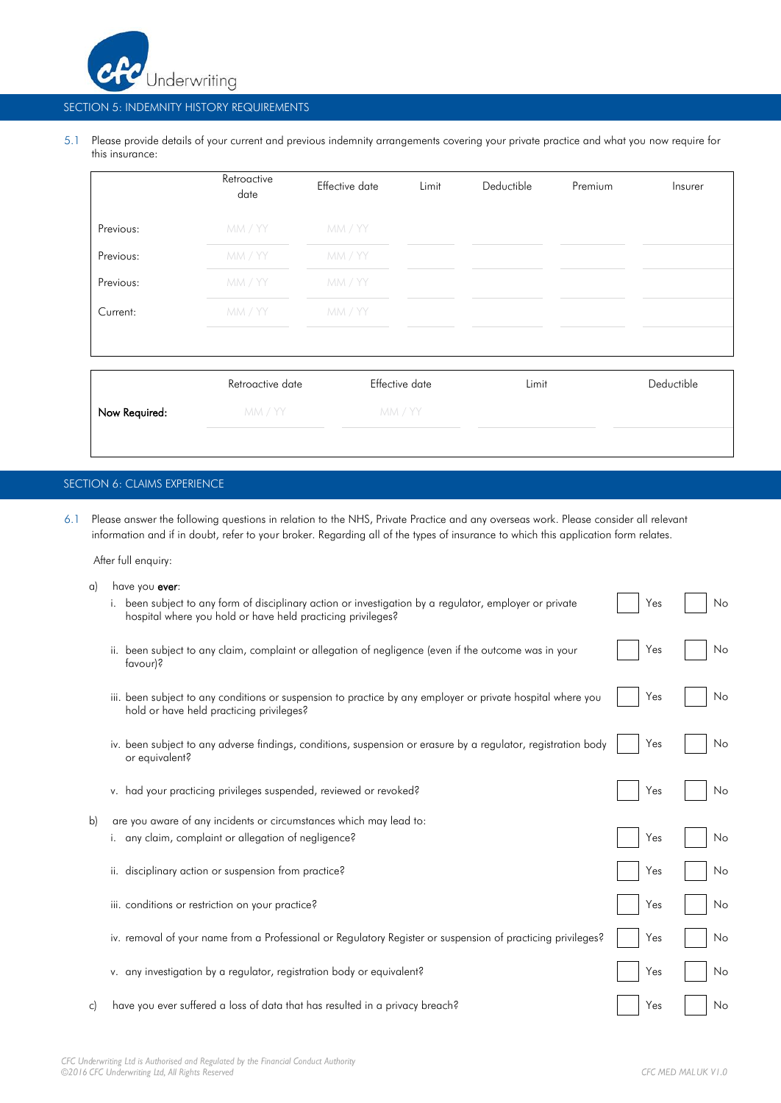

### SECTION 5: INDEMNITY HISTORY REQUIREMENTS

5.1 Please provide details of your current and previous indemnity arrangements covering your private practice and what you now require for this insurance:

|               | Retroactive<br>date | Effective date | Limit          | Deductible | Premium | Insurer    |
|---------------|---------------------|----------------|----------------|------------|---------|------------|
| Previous:     | MM / YY             | MM / YY        |                |            |         |            |
| Previous:     | MM / YY             | MM / YY        |                |            |         |            |
| Previous:     | MM / YY             | MM / YY        |                |            |         |            |
| Current:      | MM / YY             | MM / YY        |                |            |         |            |
|               |                     |                |                |            |         |            |
|               | Retroactive date    |                | Effective date | Limit      |         | Deductible |
| Now Required: | MM / YY             |                | MM / YY        |            |         |            |

### SECTION 6: CLAIMS EXPERIENCE

6.1 Please answer the following questions in relation to the NHS, Private Practice and any overseas work. Please consider all relevant information and if in doubt, refer to your broker. Regarding all of the types of insurance to which this application form relates.

After full enquiry:

| a) | have you ever:                                                                                                                                                         |     |    |
|----|------------------------------------------------------------------------------------------------------------------------------------------------------------------------|-----|----|
|    | i. been subject to any form of disciplinary action or investigation by a regulator, employer or private<br>hospital where you hold or have held practicing privileges? | Yes | No |
|    | ii. been subject to any claim, complaint or allegation of negligence (even if the outcome was in your<br>favour)?                                                      | Yes | No |
|    | iii, been subject to any conditions or suspension to practice by any employer or private hospital where you<br>hold or have held practicing privileges?                | Yes | No |
|    | iv. been subject to any adverse findings, conditions, suspension or erasure by a regulator, registration body<br>or equivalent?                                        | Yes | No |
|    | v. had your practicing privileges suspended, reviewed or revoked?                                                                                                      | Yes | No |
| b) | are you aware of any incidents or circumstances which may lead to:                                                                                                     |     |    |
|    | i. any claim, complaint or allegation of negligence?                                                                                                                   | Yes | No |
|    | disciplinary action or suspension from practice?<br>ii.                                                                                                                | Yes | No |
|    | iii. conditions or restriction on your practice?                                                                                                                       | Yes | No |
|    | iv. removal of your name from a Professional or Regulatory Register or suspension of practicing privileges?                                                            | Yes | No |
|    | v. any investigation by a regulator, registration body or equivalent?                                                                                                  | Yes | No |
| C) | have you ever suffered a loss of data that has resulted in a privacy breach?                                                                                           | Yes | No |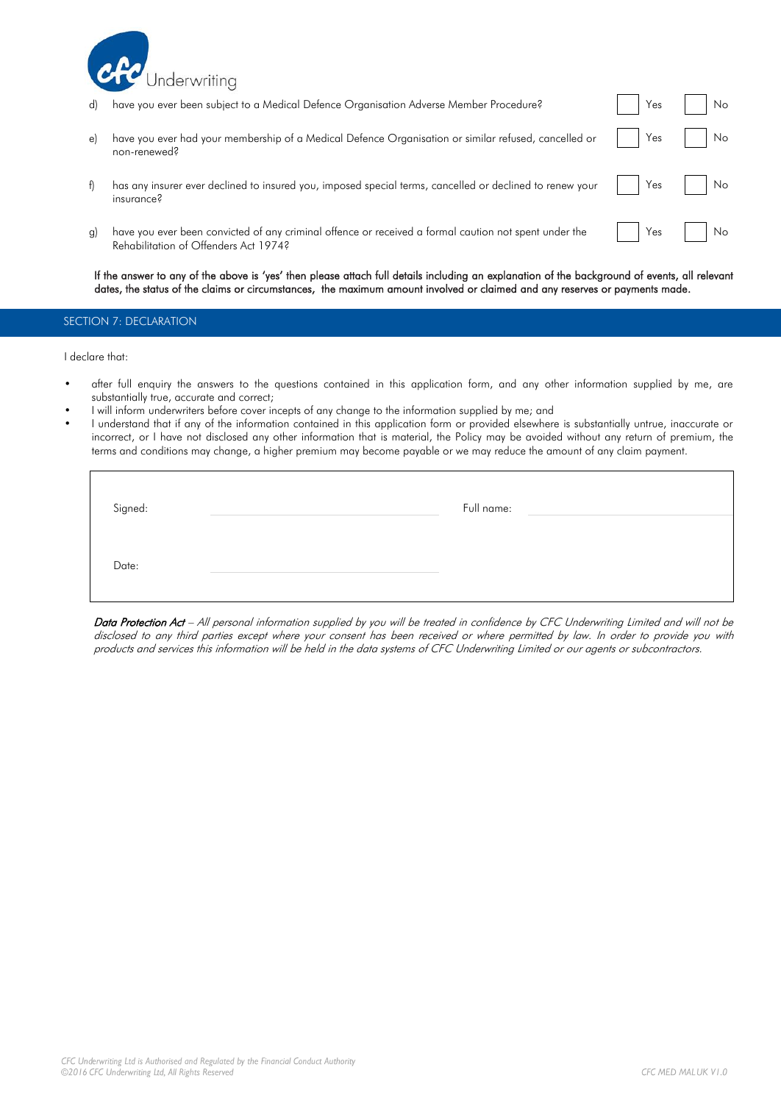

| d)         | have you ever been subject to a Medical Defence Organisation Adverse Member Procedure?                                                         | Yes | No             |
|------------|------------------------------------------------------------------------------------------------------------------------------------------------|-----|----------------|
| e)         | have you ever had your membership of a Medical Defence Organisation or similar refused, cancelled or<br>non-renewed?                           | Yes | N <sub>o</sub> |
| $\uparrow$ | has any insurer ever declined to insured you, imposed special terms, cancelled or declined to renew your<br>insurance?                         | Yes | I No           |
| g)         | have you ever been convicted of any criminal offence or received a formal caution not spent under the<br>Rehabilitation of Offenders Act 1974? | Yes | No.            |

If the answer to any of the above is 'yes' then please attach full details including an explanation of the background of events, all relevant dates, the status of the claims or circumstances, the maximum amount involved or claimed and any reserves or payments made.

## SECTION 7: DECLARATION

I declare that:

- after full enquiry the answers to the questions contained in this application form, and any other information supplied by me, are substantially true, accurate and correct;
- I will inform underwriters before cover incepts of any change to the information supplied by me; and
- I understand that if any of the information contained in this application form or provided elsewhere is substantially untrue, inaccurate or incorrect, or I have not disclosed any other information that is material, the Policy may be avoided without any return of premium, the terms and conditions may change, a higher premium may become payable or we may reduce the amount of any claim payment.

| Signed: | Full name: |
|---------|------------|
| Date:   |            |

Data Protection Act – All personal information supplied by you will be treated in confidence by CFC Underwriting Limited and will not be disclosed to any third parties except where your consent has been received or where permitted by law. In order to provide you with products and services this information will be held in the data systems of CFC Underwriting Limited or our agents or subcontractors.